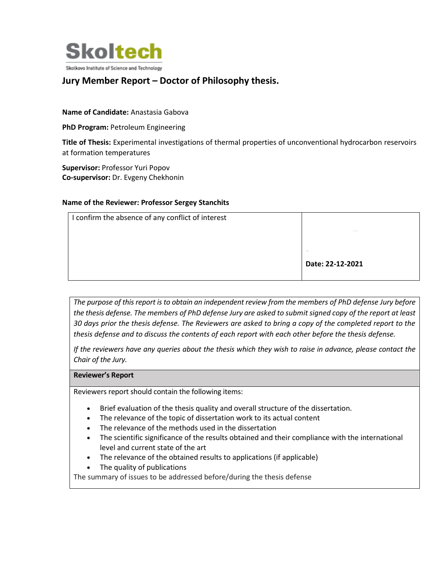

# **Jury Member Report – Doctor of Philosophy thesis.**

### **Name of Candidate:** Anastasia Gabova

**PhD Program: Petroleum Engineering** 

**Title of Thesis:** Experimental investigations of thermal properties of unconventional hydrocarbon reservoirs at formation temperatures

**Supervisor:** Professor Yuri Popov **Co-supervisor:** Dr. Evgeny Chekhonin

#### **Name of the Reviewer: Professor Sergey Stanchits**

| I confirm the absence of any conflict of interest |                          |
|---------------------------------------------------|--------------------------|
|                                                   | <b><i>CONTRACTOR</i></b> |
|                                                   | <b>COLUMN</b>            |
|                                                   | Date: 22-12-2021         |
|                                                   |                          |

*The purpose of this report is to obtain an independent review from the members of PhD defense Jury before the thesis defense. The members of PhD defense Jury are asked to submit signed copy of the report at least 30 days prior the thesis defense. The Reviewers are asked to bring a copy of the completed report to the thesis defense and to discuss the contents of each report with each other before the thesis defense.* 

*If the reviewers have any queries about the thesis which they wish to raise in advance, please contact the Chair of the Jury.*

#### **Reviewer's Report**

Reviewers report should contain the following items:

- Brief evaluation of the thesis quality and overall structure of the dissertation.
- The relevance of the topic of dissertation work to its actual content
- The relevance of the methods used in the dissertation
- The scientific significance of the results obtained and their compliance with the international level and current state of the art
- The relevance of the obtained results to applications (if applicable)
- The quality of publications

The summary of issues to be addressed before/during the thesis defense